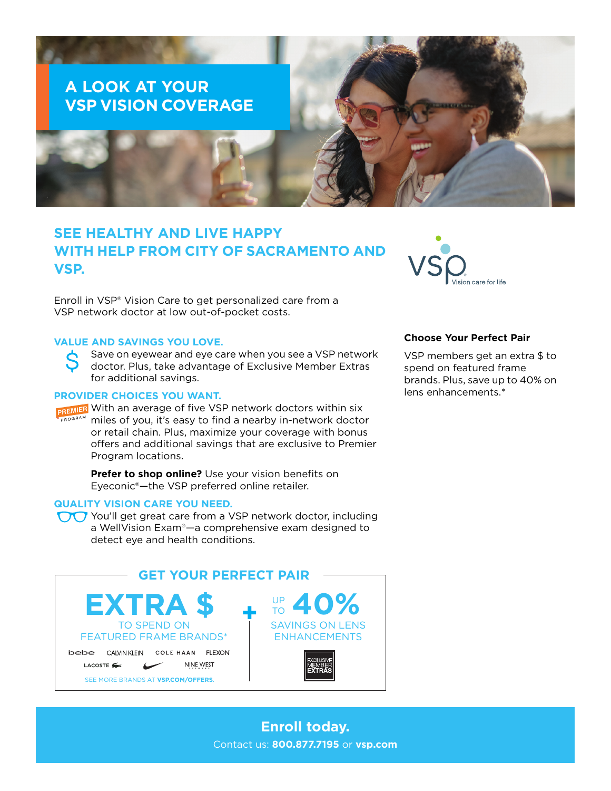# **A LOOK AT YOUR VSP VISION COVERAGE**

# **SEE HEALTHY AND LIVE HAPPY WITH HELP FROM CITY OF SACRAMENTO AND VSP.**

Enroll in VSP® Vision Care to get personalized care from a VSP network doctor at low out-of-pocket costs.

# **VALUE AND SAVINGS YOU LOVE.**

Save on eyewear and eye care when you see a VSP network doctor. Plus, take advantage of Exclusive Member Extras for additional savings.

#### **PROVIDER CHOICES YOU WANT.**

PREMIER With an average of five VSP network doctors within six miles of you, it's easy to find a nearby in-network doctor or retail chain. Plus, maximize your coverage with bonus offers and additional savings that are exclusive to Premier Program locations.

> **Prefer to shop online?** Use your vision benefits on Eyeconic®—the VSP preferred online retailer.

#### **QUALITY VISION CARE YOU NEED.**

You'll get great care from a VSP network doctor, including a WellVision Exam®—a comprehensive exam designed to detect eye and health conditions.





# **Choose Your Perfect Pair**

VSP members get an extra \$ to spend on featured frame brands. Plus, save up to 40% on lens enhancements.\*

**Enroll today.** Contact us: **800.877.7195** or **[vsp.com](http://www.vsp.com)**